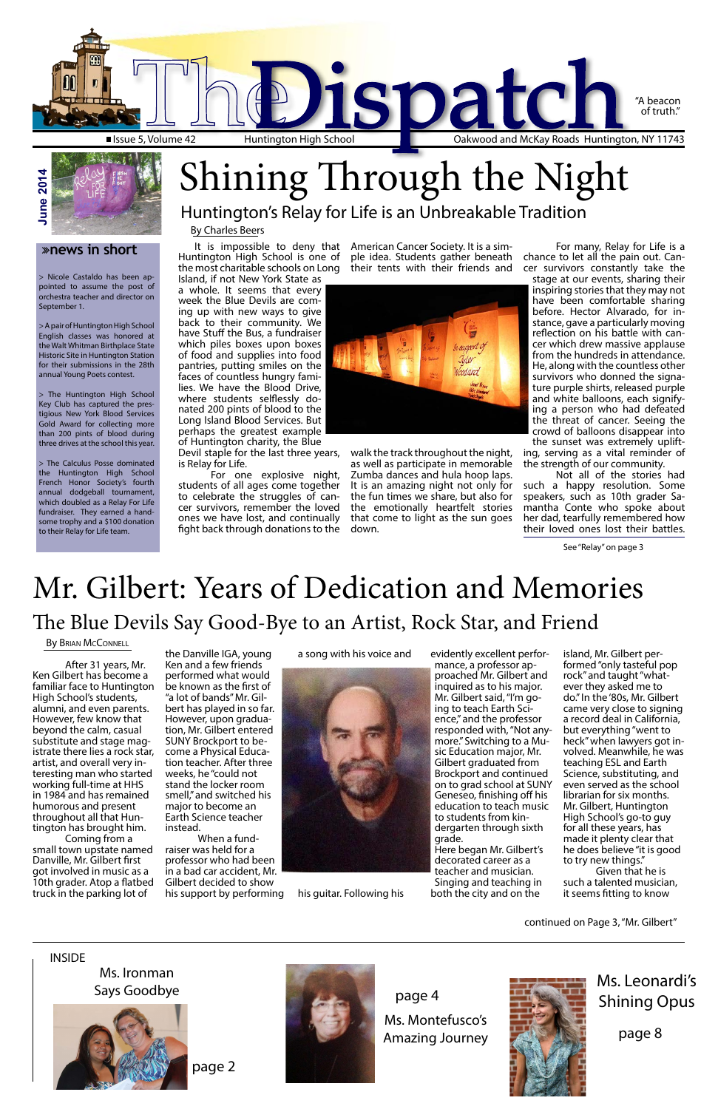It is impossible to deny that Huntington High School is one of the most charitable schools on Long Island, if not New York State as

a whole. It seems that every week the Blue Devils are coming up with new ways to give back to their community. We have Stuff the Bus, a fundraiser which piles boxes upon boxes of food and supplies into food pantries, putting smiles on the faces of countless hungry families. We have the Blood Drive, where students selflessly donated 200 pints of blood to the Long Island Blood Services. But perhaps the greatest example of Huntington charity, the Blue

Devil staple for the last three years, is Relay for Life.

For one explosive night, students of all ages come together to celebrate the struggles of cancer survivors, remember the loved ones we have lost, and continually fight back through donations to the

American Cancer Society. It is a simple idea. Students gather beneath their tents with their friends and



walk the track throughout the night, as well as participate in memorable Zumba dances and hula hoop laps. It is an amazing night not only for the fun times we share, but also for the emotionally heartfelt stories that come to light as the sun goes down.

For many, Relay for Life is a chance to let all the pain out. Cancer survivors constantly take the

stage at our events, sharing their inspiring stories that they may not have been comfortable sharing before. Hector Alvarado, for instance, gave a particularly moving reflection on his battle with cancer which drew massive applause from the hundreds in attendance. He, along with the countless other survivors who donned the signature purple shirts, released purple and white balloons, each signifying a person who had defeated the threat of cancer. Seeing the crowd of balloons disappear into the sunset was extremely uplift-

ing, serving as a vital reminder of the strength of our community.

Not all of the stories had such a happy resolution. Some speakers, such as 10th grader Samantha Conte who spoke about her dad, tearfully remembered how their loved ones lost their battles.

After 31 years, Mr. Ken Gilbert has become a familiar face to Huntington High School's students, alumni, and even parents. However, few know that beyond the calm, casual substitute and stage magistrate there lies a rock star, artist, and overall very in- teresting man who started working full-time at HHS in 1984 and has remained humorous and present throughout all that Huntington has brought him. Coming from a small town upstate named Danville, Mr. Gilbert first got involved in music as a 10th grader. Atop a flatbed truck in the parking lot of

**June 2014 June 2014**

> the Danville IGA, young Ken and a few friends performed what would be known as the first of "a lot of bands" Mr. Gilbert has played in so far. However, upon graduation, Mr. Gilbert entered SUNY Brockport to become a Physical Education teacher. After three weeks, he "could not stand the locker room smell," and switched his major to become an Earth Science teacher instead. When a fundraiser was held for a professor who had been in a bad car accident, Mr. Gilbert decided to show his support by performing

a song with his voice and



his guitar. Following his

evidently excellent performance, a professor approached Mr. Gilbert and inquired as to his major. Mr. Gilbert said, "I'm going to teach Earth Science," and the professor responded with, "Not anymore." Switching to a Music Education major, Mr. Gilbert graduated from Brockport and continued on to grad school at SUNY Geneseo, finishing off his education to teach music to students from kindergarten through sixth grade. Here began Mr. Gilbert's decorated career as a teacher and musician. Singing and teaching in both the city and on the

island, Mr. Gilbert performed "only tasteful pop rock" and taught "whatever they asked me to do." In the '80s, Mr. Gilbert came very close to signing a record deal in California, but everything "went to heck" when lawyers got involved. Meanwhile, he was teaching ESL and Earth Science, substituting, and even served as the school librarian for six months. Mr. Gilbert, Huntington High School's go-to guy for all these years, has made it plenty clear that he does believe "it is good to try new things." Given that he is such a talented musician, it seems fitting to know

#### **news in short**

> Nicole Castaldo has been appointed to assume the post of orchestra teacher and director on September 1.

> A pair of Huntington High School English classes was honored at the Walt Whitman Birthplace State Historic Site in Huntington Station for their submissions in the 28th annual Young Poets contest.

> The Huntington High School Key Club has captured the prestigious New York Blood Services Gold Award for collecting more than 200 pints of blood during three drives at the school this year.

> The Calculus Posse dominated the Huntington High School French Honor Society's fourth annual dodgeball tournament, which doubled as a Relay For Life fundraiser. They earned a handsome trophy and a \$100 donation to their Relay for Life team.



By Charles Beers

### Huntington's Relay for Life is an Unbreakable Tradition Shining Through the Night

### The Blue Devils Say Good-Bye to an Artist, Rock Star, and Friend Mr. Gilbert: Years of Dedication and Memories

#### By BRIAN MCCONNELL

#### INSIDE

Ms. Montefusco's Amazing Journey



page 4

Ms. Ironman Says Goodbye





Ms. Leonardi's Shining Opus

page 8

See "Relay" on page 3

continued on Page 3, "Mr. Gilbert"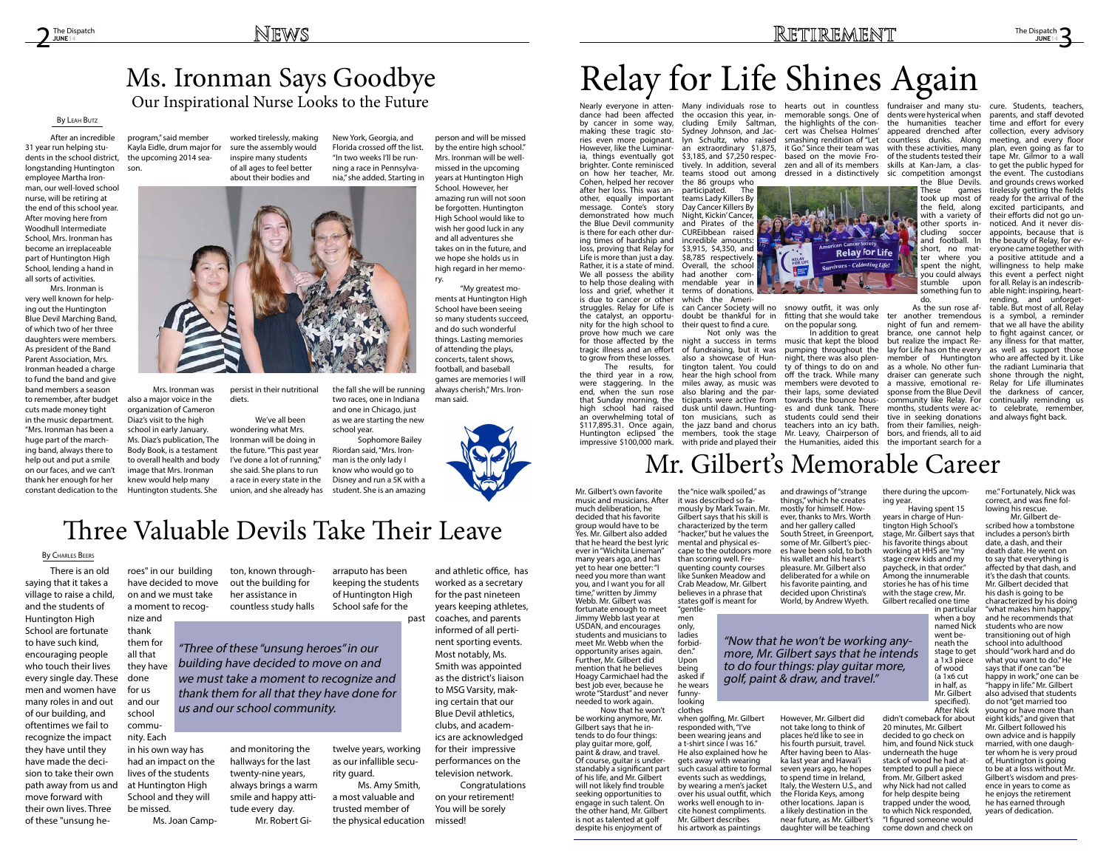by cancer in some way, making these tragic stories even more poignant. However, like the Luminaria, things eventually got brighter. Conte reminisced on how her teacher, Mr. Cohen, helped her recover after her loss. This was another, equally important message. Conte's story demonstrated how much the Blue Devil community is there for each other during times of hardship and loss, proving that Relay for Life is more than just a day. Rather, it is a state of mind. We all possess the ability to help those dealing with loss and grief, whether it is due to cancer or other struggles. Relay for Life is the catalyst, an opportunity for the high school to

Nearly everyone in atten- Many individuals rose to hearts out in countless fundraiser and many stutively. In addition, several zen and all of its members skills at Kan-Jam, a clasthe highlights of the concert was Chelsea Holmes' smashing rendition of "Let it Go." Since their team was based on the movie Fro-

> **Relay for Life Survivors** - Celebrating Life!

the 86 groups who participated. The teams Lady Killers By Day Cancer Killers By Night, Kickin' Cancer, and Pirates of the CUREibbean raised incredible amounts:  $$3,915, $4,350, and$ \$8,785 respectively. Overall, the school had another commendable year in terms of donations, which the Ameri-

dance had been affected the occasion this year, in-memorable songs. One of cluding Emily Saltman, Sydney Johnson, and Jaclyn Schultz, who raised an extraordinary \$1,875, \$3,185, and \$7,250 respecteams stood out among dressed in a distinctively sic competition amongst

> can Cancer Society will no snowy outfit, it was only doubt be thankful for in their quest to find a cure.

prove how much we care for those affected by the tragic illness and an effort to grow from these losses. The results, for the third year in a row, were staggering. In the end, when the sun rose that Sunday morning, the high school had raised an overwhelming total of \$117,895.31. Once again, Huntington eclipsed the members, took the stage Mr. Leavy, Chairperson of bors, and friends, all to aid impressive \$100,000 mark. with pride and played their the Humanities, aided this the important search for a Not only was the night a success in terms of fundraising, but it was also a showcase of Huntington talent. You could hear the high school from miles away, as music was also blaring and the participants were active from dusk until dawn. Hunting-es and dunk tank. There ton musicians, such as students could send their the jazz band and chorus teachers into an icy bath. In addition to great music that kept the blood pumping throughout the night, there was also plenty of things to do on and off the track. While many members were devoted to a massive, emotional retheir laps, some deviated towards the bounce hous-

fitting that she would take on the popular song.

JUNE<sub>1</sub> The Dispatch

dents were hysterical when the humanities teacher appeared drenched after countless dunks. Along with these activities, many of the students tested their

> the Blue Devils. These games took up most of the field, along with a variety of other sports including soccer and football. In short, no matter where you spent the night, you could always stumble upon something fun to do.

As the sun rose after another tremendous night of fun and remembrance, one cannot help but realize the impact Relay for Life has on the every member of Huntington as a whole. No other fundraiser can generate such sponse from the Blue Devil community like Relay. For months, students were active in seeking donations from their families, neigh-

cure. Students, teachers, parents, and staff devoted

time and effort for every collection, every advisory meeting, and every floor plan, even going as far to tape Mr. Gilmor to a wall to get the public hyped for the event. The custodians and grounds crews worked tirelessly getting the fields ready for the arrival of the excited participants, and their efforts did not go unnoticed. And it never disappoints, because that is the beauty of Relay, for everyone came together with a positive attitude and a willingness to help make this event a perfect night for all. Relay is an indescribable night: inspiring, heartrending, and unforgettable. But most of all, Relay is a symbol, a reminder that we all have the ability to fight against cancer, or any illness for that matter, as well as support those who are affected by it. Like the radiant Luminaria that shone through the night, Relay for Life illuminates the darkness of cancer, continually reminding us to celebrate, remember,

and always fight back.

# Relay for Life Shines Again

#### **JUNE14** The Dispatch

## Mr. Gilbert's Memorable Career

After an incredible 31 year run helping students in the school district, longstanding Huntington employee Martha Ironman, our well-loved school nurse, will be retiring at the end of this school year. After moving here from Woodhull Intermediate School, Mrs. Ironman has become an irreplaceable part of Huntington High School, lending a hand in all sorts of activities.

> Having spent 15 years in charge of Huntington High School's stage, Mr. Gilbert says that his favorite things about working at HHS are "my stage crew kids and my paycheck, in that order." Among the innumerable stories he has of his time with the stage crew, Mr. Gilbert recalled one time

Mrs. Ironman is very well known for helping out the Huntington Blue Devil Marching Band, of which two of her three daughters were members. As president of the Band Parent Association, Mrs. Ironman headed a charge to fund the band and give band members a season to remember, after budget cuts made money tight in the music department. "Mrs. Ironman has been a huge part of the marching band, always there to help out and put a smile on our faces, and we can't thank her enough for her constant dedication to the

program," said member Kayla Eidle, drum major for the upcoming 2014 season.

Mrs. Ironman was also a major voice in the organization of Cameron Diaz's visit to the high school in early January. Ms. Diaz's publication, The Body Book, is a testament to overall health and body image that Mrs. Ironman knew would help many Huntington students. She

worked tirelessly, making sure the assembly would inspire many students of all ages to feel better about their bodies and

persist in their nutritional diets.

We've all been wondering what Mrs. Ironman will be doing in the future. "This past year I've done a lot of running," she said. She plans to run a race in every state in the union, and she already has New York, Georgia, and Florida crossed off the list. "In two weeks I'll be running a race in Pennsylvania," she added. Starting in



the fall she will be running two races, one in Indiana and one in Chicago, just as we are starting the new school year.

Sophomore Bailey Riordan said, "Mrs. Ironman is the only lady I know who would go to Disney and run a 5K with a student. She is an amazing

person and will be missed by the entire high school." Mrs. Ironman will be wellmissed in the upcoming years at Huntington High School. However, her amazing run will not soon be forgotten. Huntington High School would like to wish her good luck in any and all adventures she takes on in the future, and we hope she holds us in high regard in her memory.

"My greatest moments at Huntington High School have been seeing so many students succeed, and do such wonderful things. Lasting memories of attending the plays, concerts, talent shows, football, and baseball games are memories I will always cherish," Mrs. Ironman said.



### Our Inspirational Nurse Looks to the Future Ms. Ironman Says Goodbye

### By Leah Butz

Mr. Gilbert's own favorite music and musicians. After much deliberation, he decided that his favorite group would have to be Yes. Mr. Gilbert also added that he heard the best lyric ever in "Wichita Lineman" many years ago, and has yet to hear one better: "I need you more than want you, and I want you for all time," written by Jimmy Webb. Mr. Gilbert was fortunate enough to meet Jimmy Webb last year at USDAN, and encourages students and musicians to meet Mr. Webb when the opportunity arises again. Further, Mr. Gilbert did mention that he believes Hoagy Carmichael had the best job ever, because he wrote "Stardust" and never needed to work again.

Now that he won't

be working anymore, Mr. Gilbert says that he intends to do four things: play guitar more, golf, paint & draw, and travel. Of course, guitar is understandably a significant part of his life, and Mr. Gilbert will not likely find trouble seeking opportunities to engage in such talent. On the other hand, Mr. Gilbert is not as talented at golf despite his enjoyment of

## $2^{\frac{The Dispatch}{JURE14}}$  The Dispatch  $\frac{NEWSS}{JURE14}$

the "nice walk spoiled," as it was described so famously by Mark Twain. Mr. Gilbert says that his skill is characterized by the term "hacker," but he values the mental and physical escape to the outdoors more than scoring well. Frequenting county courses like Sunken Meadow and Crab Meadow, Mr. Gilbert believes in a phrase that

states golf is meant for "gentle- men

only, ladies forbid- den." Upon being asked if he wears funnylooking

clothes when golfing, Mr. Gilbert responded with, "I've been wearing jeans and a t-shirt since I was 16." He also explained how he gets away with wearing such casual attire to formal events such as weddings, by wearing a men's jacket over his usual outfit, which<br>works well enough to incite honest compliments. Mr. Gilbert describes his artwork as paintings

and drawings of "strange things," which he creates mostly for himself. However, thanks to Mrs. Worth and her gallery called South Street, in Greenport, some of Mr. Gilbert's pieces have been sold, to both his wallet and his heart's pleasure. Mr. Gilbert also deliberated for a while on his favorite painting, and decided upon Christina's World, by Andrew Wyeth.

However, Mr. Gilbert did not take long to think of places he'd like to see in his fourth pursuit, travel. After having been to Alaska last year and Hawai'i seven years ago, he hopes to spend time in Ireland, Italy, the Western U.S., and the Florida Keys, among other locations. Japan is a likely destination in the near future, as Mr. Gilbert's daughter will be teaching

there during the upcoming year.

> in particular when a boy named Nick went be- neath the stage to get a 1x3 piece of wood (a 1x6 cut in half, as Mr. Gilbert specified). After Nick

didn't comeback for about 20 minutes, Mr. Gilbert decided to go check on him, and found Nick stuck underneath the huge stack of wood he had attempted to pull a piece from. Mr. Gilbert asked why Nick had not called for help despite being trapped under the wood, to which Nick responded, "I figured someone would come down and check on

me." Fortunately, Nick was correct, and was fine following his rescue.

Mr. Gilbert described how a tombstone includes a person's birth date, a dash, and their death date. He went on to say that everything is affected by that dash, and it's the dash that counts. Mr. Gilbert decided that his dash is going to be characterized by his doing "what makes him happy," and he recommends that students who are now transitioning out of high school into adulthood should "work hard and do what you want to do." He says that if one can "be happy in work," one can be "happy in life." Mr. Gilbert also advised that students do not "get married too young or have more than eight kids," and given that Mr. Gilbert followed his own advice and is happily married, with one daughter whom he is very proud of, Huntington is going to be at a loss without Mr. Gilbert's wisdom and presence in years to come as he enjoys the retirement he has earned through years of dedication.

"Now that he won't be working anymore, Mr. Gilbert says that he intends to do four things: play guitar more, golf, paint & draw, and travel."

There is an old saying that it takes a village to raise a child, and the students of Huntington High School are fortunate to have such kind, encouraging people who touch their lives every single day. These men and women have many roles in and out of our building, and oftentimes we fail to recognize the impact they have until they have made the decision to take their own path away from us and move forward with their own lives. Three of these "unsung he-

roes" in our building have decided to move on and we must take a moment to recognize and thank them for all that

they have done for us and our school community. Each

in his own way has had an impact on the lives of the students at Huntington High School and they will be missed.

Ms. Joan Camp-

ton, known throughout the building for her assistance in countless study halls

and monitoring the hallways for the last twenty-nine years, always brings a warm smile and happy attitude every day. Mr. Robert Gi-

arraputo has been keeping the students of Huntington High School safe for the

twelve years, working as our infallible security guard. Ms. Amy Smith,

a most valuable and trusted member of the physical education

past coaches, and parents and athletic office, has worked as a secretary for the past nineteen years keeping athletes, informed of all pertinent sporting events. Most notably, Ms. Smith was appointed as the district's liaison to MSG Varsity, making certain that our Blue Devil athletics, clubs, and academics are acknowledged for their impressive performances on the television network.

> Congratulations on your retirement! You will be sorely missed!

## Three Valuable Devils Take Their Leave

#### By Charles Beers

"Three of these "unsung heroes" in our building have decided to move on and we must take a moment to recognize and thank them for all that they have done for us and our school community.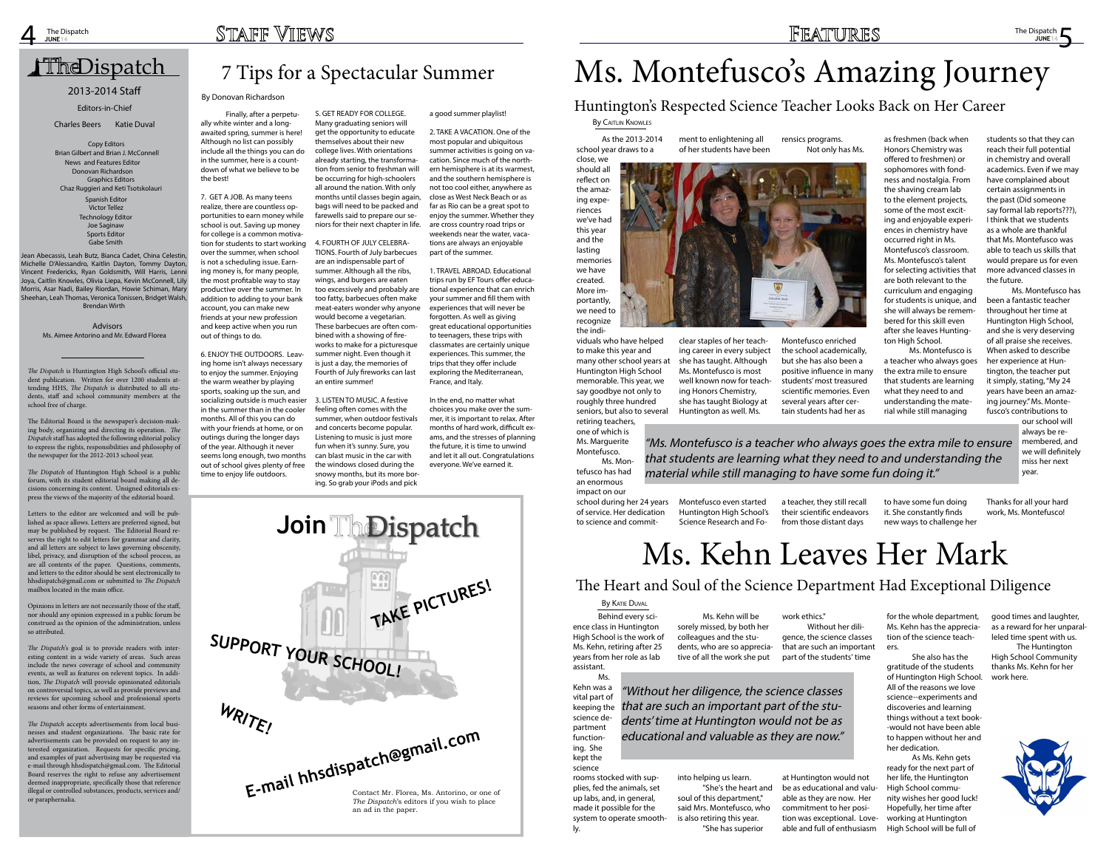Ms. Aimee Antorino and Mr. Edward Florea



### 7 Tips for a Spectacular Summer

Finally, after a perpetually white winter and a longawaited spring, summer is here! Although no list can possibly include all the things you can do in the summer, here is a countdown of what we believe to be the best!

The Dispatch is Huntington High School's official statents at-<br>dent publication. Written for over 1200 students atstudent publication. Written for over 1200 students tending HHS, *The Dispatch* is distributed to all students, staff and school community members at the dents, staff and school community members at the school free of charge. school free of charge. *The Dispatch* is Huntington High School's official stu7. GET A JOB. As many teens realize, there are countless opportunities to earn money while school is out. Saving up money for college is a common motivation for students to start working over the summer, when school is not a scheduling issue. Earning money is, for many people, the most profitable way to stay productive over the summer. In addition to adding to your bank account, you can make new friends at your new profession and keep active when you run out of things to do.

The Editorial Board is the newspaper's decision-ing body, organizing and directing its operation. *The*  making body, organizing and directing its opera-*Dispatch* staff has adopted the following editorial policy tion. The Dispatch staff has adopted the following to express the rights, responsibilities and philosophy of  $\frac{1}{2}$  to express the rights, responsibilities and princes  $\frac{1}{2}$  of the newspaper for the 2012-2013 school year. The Editorial Board is the newspaper's decision-mak-

The Dispatch of Huntington High School is a public cisions concerning its content. Unsigned editorials exelistene concerning he concernit enlighted currenties of press the views of the majority of the editorial board. forum, with its student editorial board making all de-

Letters to the editor are welcomed and will be pubboard. lished as space allows. Letters are preferred signed, but External by Poqueon. The External Bestein to serves the right to edit letters for grammar and clarity, and all letters are subject to laws governing obscenity, and an return are easyers to rathe generating ecocentry,<br>libel, privacy, and disruption of the school process, as are all contents of the paper. Questions, comments, and letters to the editor should be sent electronically to governing obscenity, libel, privacy, and disruption hhsdispatch@gmail.com or submitted to *The Dispatch* mistric process, as are all content of the particle of the paper.  $\frac{1}{2}$  per secure  $\frac{1}{2}$  and  $\frac{1}{2}$  and  $\frac{1}{2}$  and  $\frac{1}{2}$  and  $\frac{1}{2}$  and  $\frac{1}{2}$  and  $\frac{1}{2}$  and  $\frac{1}{2}$  and  $\frac{1}{2}$  and  $\frac{1}{2}$  and  $\frac{1}{2}$  and  $\frac{1}{2}$  and  $\frac{1}{2}$  and  $\frac{1}{2}$  and  $\frac{$ may be published by request. The Editorial Board re6. ENJOY THE OUTDOORS. Leaving home isn't always necessary to enjoy the summer. Enjoying the warm weather by playing sports, soaking up the sun, and socializing outside is much easier in the summer than in the cooler months. All of this you can do with your friends at home, or on outings during the longer days of the year. Although it never seems long enough, two months out of school gives plenty of free time to enjoy life outdoors.

Opinions in letters are not necessarily those of the staff, common interest are not necessarily diseased of the stand, nor should any opinion expressed in a public forum be for enour any opinion enpressed in a pathe for any of construed as the opinion of the administration, unless  $\sim$  0.000 minimizations in letters are not necessarily the those of the those of the those of the those of the theorem so attributed.

The Dispatch's goal is to provide readers with inter-For B applicate gear to the provide related with linear esting content in a wide variety of areas. Such areas include the news coverage of school and community **The Dispatch will provide opinionated editorials** nest, the *D a<sub>p</sub> ment* with provide opmicialized calculation en connected to epice, as well as provide provide and reviews and nextend for appearing outcome and professional operator seasons and other forms of entertainment. events, as well as features on relevent topics. In addi-

5. GET READY FOR COLLEGE. Many graduating seniors will get the opportunity to educate themselves about their new college lives. With orientations already starting, the transformation from senior to freshman will be occurring for high-schoolers all around the nation. With only months until classes begin again, bags will need to be packed and farewells said to prepare our seniors for their next chapter in life.

The Dispatch accepts advertisements from local businesses and student organizations. The basic rate for fession and other organizations. The other face for tainment. terested organization. Requests for specific pricing, e-mail through hhsdispatch@gmail.com. The Editorial **business and student organizations**. The basic rate Board reserves the right to refuse any advertisement deemed inappropriate, specifically those that reference to any propriety of contrast, and the contrast interest illegal or controlled substances, products, services and/<br>or paraphernalia requested via e-mail through his e-mail through his e-mail through his e-mail. The contract of the contract of and examples of past advertising may be requested via or paraphernalia.

### <u>Dispatch</u> Dispatch

### **Advisors** Ms. Aimee Antorino and Mr. Edward Florea

Morris, Asar Nadi, Bailey Riordan, Howie Schiman, Mary Sheehan, Leah Thomas, Veronica Tonissen, Bridget Walsh, Lanzisero, Josh Morris, Lily Morris, Asar Nadi, Ben Brendan Wirth Sean Abecassis, Ecan Batz, Bianca Cadet, China Celestin,<br>Michelle D'Alessandro, Kaitlin Dayton, Tommy Dayton, wienene *Britessandro,* Kallin Bayton, Tommy Bayton,<br>Vincent Fredericks, Ryan Goldsmith, Will Harris, Lenni Jean Abecassis, Leah Butz, Bianca Cadet, China Celestin, Joya, Caitlin Knowles, Olivia Liepa, Kevin McConnell, Lily

2012-2013 Staff Contributing Staff Brian Gilbert and Brian J. McConnell News and Features Editor Donovan Richardson News Editors Editors Chaz Ruggieri and Keti Tsotskolauri Victor Tellez Technology Editor Sports Editor **Jessica Baik and Email and Email Away School Smith** Copy Editors Graphics Editors Spanish Editor Joe Saginaw

As the 2013-2014 school year draws to a By CAITLIN KNOWLES

4. FOURTH OF JULY CELEBRA-TIONS. Fourth of July barbecues are an indispensable part of summer. Although all the ribs, wings, and burgers are eaten too excessively and probably are too fatty, barbecues often make meat-eaters wonder why anyone would become a vegetarian. These barbecues are often combined with a showing of fireworks to make for a picturesque summer night. Even though it is just a day, the memories of Fourth of July fireworks can last an entire summer!

3. LISTEN TO MUSIC. A festive feeling often comes with the summer, when outdoor festivals and concerts become popular. Listening to music is just more fun when it's sunny. Sure, you can blast music in the car with the windows closed during the snowy months, but its more boring. So grab your iPods and pick

#### a good summer playlist!

2. TAKE A VACATION. One of the most popular and ubiquitous summer activities is going on vacation. Since much of the northern hemisphere is at its warmest, and the southern hemisphere is not too cool either, anywhere as close as West Neck Beach or as far as Rio can be a great spot to enjoy the summer. Whether they are cross country road trips or weekends near the water, vacations are always an enjoyable part of the summer.

1. TRAVEL ABROAD. Educational trips run by EF Tours offer educational experience that can enrich your summer and fill them with experiences that will never be forgotten. As well as giving great educational opportunities to teenagers, these trips with classmates are certainly unique experiences. This summer, the trips that they offer include exploring the Mediterranean, France, and Italy.

In the end, no matter what choices you make over the summer, it is important to relax. After months of hard work, difficult exams, and the stresses of planning the future, it is time to unwind and let it all out. Congratulations everyone. We've earned it.

> Behind every science class in Huntington High School is the work of Ms. Kehn, retiring after 25 years from her role as lab assistant. **By KATIE DUVAL**

### 2013-2014 Staff

#### Editors-in-Chief

Charles Beers Katie Duval

### By Donovan Richardson

close, we should all reflect on the amazing experiences we've had this year and the lasting memories we have created. More importantly, we need to recognize the indi-

viduals who have helped to make this year and many other school years at Huntington High School memorable. This year, we say goodbye not only to roughly three hundred seniors, but also to several retiring teachers, one of which is Ms. Marguerite Montefusco.

Ms. Montefusco has had an enormous impact on our school during her 24 years of service. Her dedication to science and commit-

ment to enlightening all of her students have been

> clear staples of her teaching career in every subject she has taught. Although Ms. Montefusco is most well known now for teaching Honors Chemistry, she has taught Biology at Huntington as well. Ms.

Montefusco even started Huntington High School's Science Research and Forensics programs. Not only has Ms.



Montefusco enriched the school academically, but she has also been a positive influence in many students' most treasured scientific memories. Even several years after certain students had her as

a teacher, they still recall their scientific endeavors from those distant days

as freshmen (back when Honors Chemistry was offered to freshmen) or sophomores with fondness and nostalgia. From the shaving cream lab to the element projects, some of the most exciting and enjoyable experiences in chemistry have occurred right in Ms. Montefusco's classroom. Ms. Montefusco's talent for selecting activities that are both relevant to the curriculum and engaging for students is unique, and she will always be remembered for this skill even after she leaves Huntington High School.

Ms. Montefusco is a teacher who always goes the extra mile to ensure that students are learning what they need to and understanding the material while still managing

to have some fun doing it. She constantly finds new ways to challenge her students so that they can reach their full potential in chemistry and overall academics. Even if we may have complained about certain assignments in the past (Did someone say formal lab reports???), I think that we students as a whole are thankful that Ms. Montefusco was able to teach us skills that would prepare us for even more advanced classes in the future.

Ms. Montefusco has been a fantastic teacher throughout her time at Huntington High School, and she is very deserving of all praise she receives. When asked to describe her experience at Huntington, the teacher put it simply, stating, "My 24 years have been an amazing journey." Ms. Montefusco's contributions to

our school will always be remembered, and we will definitely miss her next year.

Thanks for all your hard work, Ms. Montefusco!

# Ms. Montefusco's Amazing Journey

### Huntington's Respected Science Teacher Looks Back on Her Career

"Ms. Montefusco is a teacher who always goes the extra mile to ensure that students are learning what they need to and understanding the material while still managing to have some fun doing it."

Ms. Kehn was a vital part of keeping the science department functioning. She kept the science

rooms stocked with supplies, fed the animals, set up labs, and, in general, made it possible for the system to operate smoothly.

Ms. Kehn will be sorely missed, by both her colleagues and the students, who are so appreciative of all the work she put

into helping us learn. "She's the heart and soul of this department," said Mrs. Montefusco, who is also retiring this year. "She has superior

work ethics."

Without her diligence, the science classes that are such an important part of the students' time

at Huntington would not be as educational and valuable as they are now. Her commitment to her position was exceptional. Loveable and full of enthusiasm

for the whole department, good times and laughter, tion of the science teachers.

She also has the gratitude of the students of Huntington High School. All of the reasons we love science--experiments and discoveries and learning things without a text book- -would not have been able to happen without her and her dedication.

Ms. Kehn has the apprecia-as a reward for her unparalleled time spent with us. The Huntington High School Community thanks Ms. Kehn for her work here.



As Ms. Kehn gets ready for the next part of her life, the Huntington High School community wishes her good luck! Hopefully, her time after working at Huntington High School will be full of

# Ms. Kehn Leaves Her Mark

### The Heart and Soul of the Science Department Had Exceptional Diligence

"Without her diligence, the science classes that are such an important part of the students' time at Huntington would not be as educational and valuable as they are now."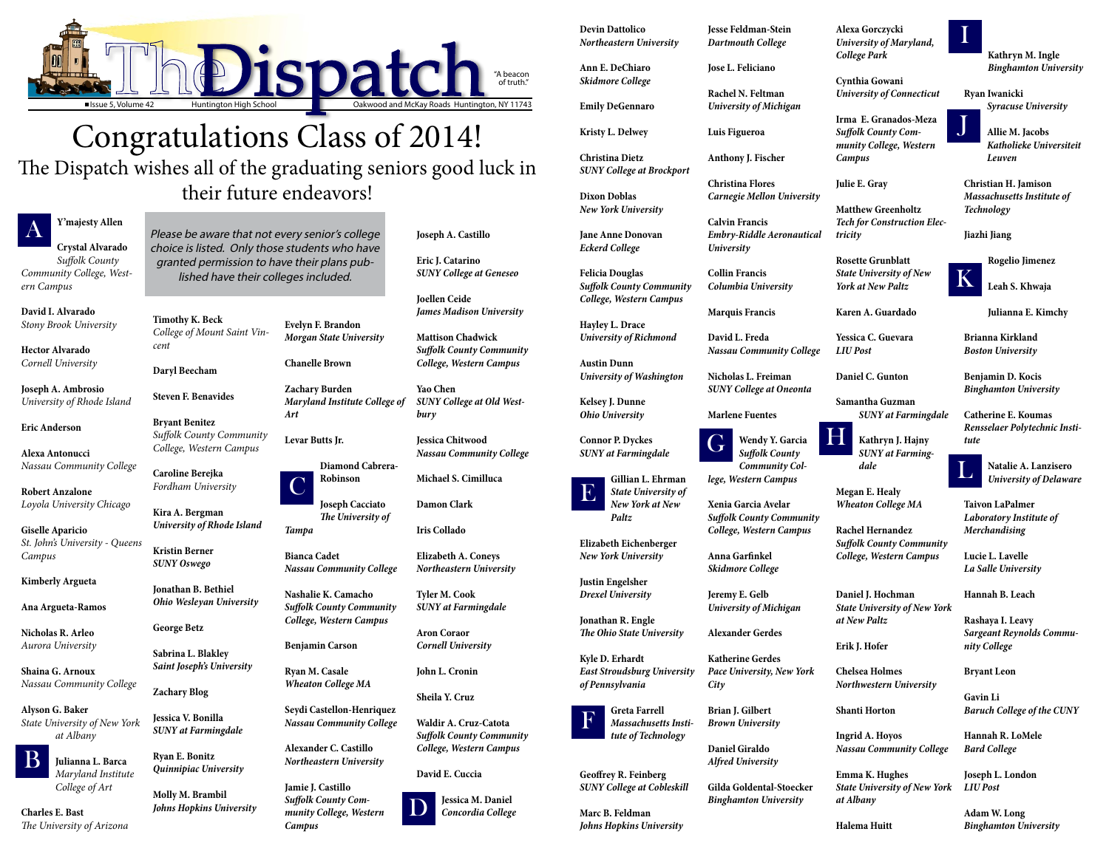

## Congratulations Class of 2014!

### The Dispatch wishes all of the graduating seniors good luck in their future endeavors!

**Y'majesty Allen**

**Crystal Alvarado** *Suffolk County Community College, Western Campus*

**David I. Alvarado** *Stony Brook University*

**Hector Alvarado**  *Cornell University*

**Joseph A. Ambrosio** *University of Rhode Island*

**Eric Anderson**

**Alexa Antonucci** *Nassau Community College*

**Robert Anzalone** *Loyola University Chicago*

**Giselle Aparicio** *St. John's University - Queens Campus*

**Kimberly Argueta**

**Ana Argueta-Ramos**

**Nicholas R. Arleo** *Aurora University*

**Shaina G. Arnoux** *Nassau Community College*

**Alyson G. Baker** *State University of New York at Albany*

> **Julianna L. Barca**  *Maryland Institute College of Art*

**Charles E. Bast**  *The University of Arizona* **Timothy K. Beck** *College of Mount Saint Vincent*

**Daryl Beecham**

**Steven F. Benavides**

**Bryant Benitez** *Suffolk County Community College, Western Campus*

**Caroline Berejka** *Fordham University* 

**Kira A. Bergman**  *University of Rhode Island*

**Kristin Berner**  *SUNY Oswego*

**Jonathan B. Bethiel** *Ohio Wesleyan University*

**George Betz**

**Sabrina L. Blakley** *Saint Joseph's University*

**Zachary Blog**

**Jessica V. Bonilla** *SUNY at Farmingdale*

**Ryan E. Bonitz** *Quinnipiac University*

**Molly M. Brambil** *Johns Hopkins University*

**Evelyn F. Brandon** *Morgan State University*

**Chanelle Brown**

**Zachary Burden**  *Maryland Institute College of Art*

**Levar Butts Jr.**

**Robinson**

**Joseph Cacciato** *The University of Tampa*

**Bianca Cadet** *Nassau Community College*

**Nashalie K. Camacho** *Suffolk County Community College, Western Campus*

**Benjamin Carson**

**Ryan M. Casale** *Wheaton College MA*

**Seydi Castellon-Henriquez** *Nassau Community College*

**Alexander C. Castillo** *Northeastern University*

**Wendy Y. Garcia** *Suffolk County Community College, Western Campus* Wendy Y. Garcia

**Jamie J. Castillo** *Suffolk County Community College, Western Campus*

**Joseph A. Castillo**

**Eric J. Catarino** *SUNY College at Geneseo*

**Joellen Ceide** *James Madison University* 



**Mattison Chadwick** *Suffolk County Community College, Western Campus*

**Yao Chen** *SUNY College at Old Westbury*

**Jessica Chitwood** *Nassau Community College*

**Michael S. Cimilluca**

**Damon Clark**

**Iris Collado**

**Elizabeth A. Coneys** *Northeastern University*

**Tyler M. Cook**  *SUNY at Farmingdale*

**Aron Coraor**  *Cornell University*

**John L. Cronin**

**Sheila Y. Cruz**

**Waldir A. Cruz-Catota** *Suffolk County Community College, Western Campus*

**David E. Cuccia**

**Jessica M. Daniel** *Concordia College*



**Devin Dattolico** *Northeastern University*

**Ann E. DeChiaro** *Skidmore College*

**Emily DeGennaro**

**Kristy L. Delwey**

**Christina Dietz** *SUNY College at Brockport*

**Dixon Doblas**  *New York University*

**Jane Anne Donovan** *Eckerd College*

**Felicia Douglas**

*Suffolk County Community College, Western Campus*

**Hayley L. Drace** *University of Richmond*

**Austin Dunn**

*University of Washington*

**Kelsey J. Dunne** *Ohio University*

**Connor P. Dyckes** *SUNY at Farmingdale*

> **Gillian L. Ehrman** *State University of New York at New*

*Paltz*

**Elizabeth Eichenberger** *New York University*

**Justin Engelsher** *Drexel University*

**Jonathan R. Engle**  *The Ohio State University*

**Kyle D. Erhardt** *of Pennsylvania*

*East Stroudsburg University* 

**Greta Farrell**  *Massachusetts Institute of Technology*

**Geoffrey R. Feinberg** *SUNY College at Cobleskill*

**Marc B. Feldman**  *Johns Hopkins University*

**Jesse Feldman-Stein** *Dartmouth College*

**Jose L. Feliciano**

**Rachel N. Feltman** *University of Michigan* 

**Luis Figueroa**

**Anthony J. Fischer**

**Christina Flores** *Carnegie Mellon University* 

**Calvin Francis** *Embry-Riddle Aeronautical University* 

**Collin Francis** *Columbia University*

**Marquis Francis**

**David L. Freda** *Nassau Community College*

**Nicholas L. Freiman**  *SUNY College at Oneonta*

**Marlene Fuentes**

**Xenia Garcia Avelar** *Suffolk County Community College, Western Campus*

**Anna Garfinkel**  *Skidmore College*

**Jeremy E. Gelb**  *University of Michigan*

**Alexander Gerdes**

**Katherine Gerdes** *Pace University, New York City*

**Brian J. Gilbert** *Brown University*

**Daniel Giraldo** *Alfred University*

**Gilda Goldental-Stoecker** *Binghamton University*

**Alexa Gorczycki** *University of Maryland, College Park*

**Cynthia Gowani** *University of Connecticut* 

**Irma E. Granados-Meza** *Suffolk County Community College, Western Campus*

**Julie E. Gray**

**Matthew Greenholtz** *Tech for Construction Electricity*

**Rosette Grunblatt** *State University of New York at New Paltz*

**Karen A. Guardado**

**Yessica C. Guevara** *LIU Post*

**Daniel C. Gunton**

**Samantha Guzman** *SUNY at Farmingdale*

**Kathryn J. Hajny** *SUNY at Farmingdale*

**Megan E. Healy** *Wheaton College MA*

**Rachel Hernandez** *Suffolk County Community College, Western Campus*

**Daniel J. Hochman** *State University of New York at New Paltz*

**Erik J. Hofer**

**Chelsea Holmes** *Northwestern University* 

**Shanti Horton**

**Ingrid A. Hoyos** *Nassau Community College*

**Emma K. Hughes** *State University of New York at Albany*

**Halema Huitt**

**Kathryn M. Ingle** *Binghamton University* 

**Ryan Iwanicki** *Syracuse University*

> **Allie M. Jacobs** *Katholieke Universiteit Leuven*

**Christian H. Jamison** *Massachusetts Institute of Technology*

**Jiazhi Jiang**

**Rogelio Jimenez** 

**Leah S. Khwaja**

**Julianna E. Kimchy**

**Brianna Kirkland** *Boston University* 

**Benjamin D. Kocis** *Binghamton University*

**Catherine E. Koumas** *Rensselaer Polytechnic Institute*

> **Natalie A. Lanzisero** *University of Delaware*

**Taivon LaPalmer**  *Laboratory Institute of Merchandising*

**Lucie L. Lavelle** *La Salle University* 

**Hannah B. Leach**

**Rashaya I. Leavy** *Sargeant Reynolds Community College*

**Bryant Leon** 

**Gavin Li**  *Baruch College of the CUNY*

**Hannah R. LoMele** *Bard College*

**Joseph L. London** *LIU Post*

**Adam W. Long** *Binghamton University*





F









Please be aware that not every senior's college choice is listed. Only those students who have granted permission to have their plans published have their colleges included.

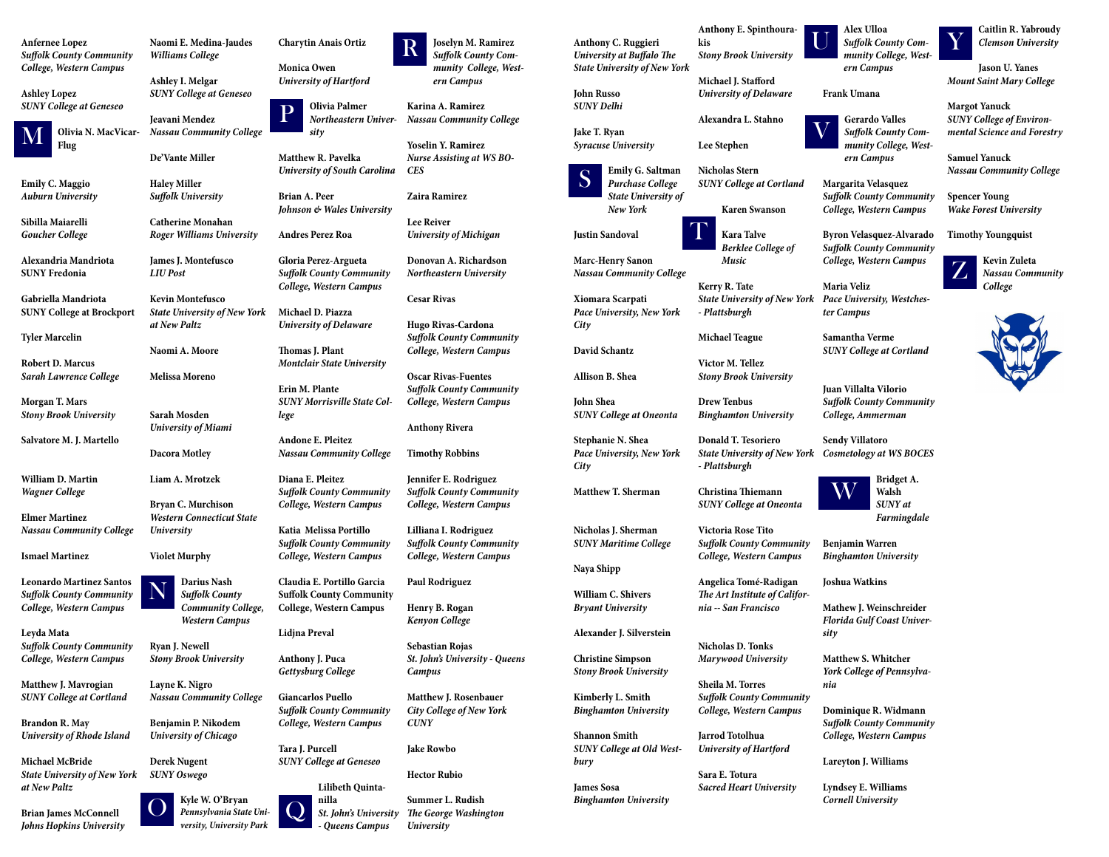**Anfernee Lopez** *Suffolk County Community College, Western Campus*

**Ashley Lopez** *SUNY College at Geneseo*



**Emily C. Maggio**  *Auburn University*

**Sibilla Maiarelli** *Goucher College*

**Alexandria Mandriota SUNY Fredonia**

**Gabriella Mandriota SUNY College at Brockport**

**Tyler Marcelin**

**Robert D. Marcus** *Sarah Lawrence College*

**Morgan T. Mars** *Stony Brook University*

**Salvatore M. J. Martello**

**William D. Martin** *Wagner College*

**Elmer Martinez** *Nassau Community College*

**Jeavani Mendez** *Nassau Community College* rormeusiern Oniver-Nussuu Community Conege<br>
M The T. Ryan<br>
Plug Syracuse University Lee Stephen<br>
M The Stephen<br>
M The Stephen<br>
M The Stephen<br>
Syracuse University Lee Stephen

**Ismael Martinez**

**Leonardo Martinez Santos** *Suffolk County Community College, Western Campus*

**Leyda Mata** *Suffolk County Community College, Western Campus* 

**Matthew J. Mavrogian** *SUNY College at Cortland*

**Brandon R. May** *University of Rhode Island*

**Michael McBride** *State University of New York at New Paltz*

**Brian James McConnell**  *Johns Hopkins University* **Naomi E. Medina-Jaudes** *Williams College*

**Ashley I. Melgar** *SUNY College at Geneseo* 

**De'Vante Miller**

**Haley Miller** *Suffolk University* 

**Catherine Monahan** *Roger Williams University*

**James J. Montefusco** *LIU Post*

**Kevin Montefusco** *State University of New York at New Paltz*

**Naomi A. Moore** 

**Melissa Moreno**

**Sarah Mosden** *University of Miami*

**Dacora Motley**

**Liam A. Mrotzek**

**Bryan C. Murchison** *Western Connecticut State University*

**Violet Murphy** 

**Ryan J. Newell**  *Stony Brook University*

**Layne K. Nigro** *Nassau Community College*

**Benjamin P. Nikodem**  *University of Chicago*

**Derek Nugent** *SUNY Oswego*



**Charytin Anais Ortiz**

**Monica Owen** *University of Hartford*

**Matthew R. Pavelka** *University of South Carolina*

**Brian A. Peer** *Johnson & Wales University*

**Andres Perez Roa**

**Gloria Perez-Argueta** *Suffolk County Community College, Western Campus*

**Michael D. Piazza** *University of Delaware* 

**Thomas J. Plant** *Montclair State University*

**Erin M. Plante** *SUNY Morrisville State College*

**Andone E. Pleitez** *Nassau Community College*

**Diana E. Pleitez** *Suffolk County Community College, Western Campus*

*Northeastern Univer-Nassau Community College* **Karina A. Ramirez**

**Katia Melissa Portillo** *Suffolk County Community College, Western Campus*

**Claudia E. Portillo Garcia Suffolk County Community College, Western Campus**

**Lidjna Preval**

**Anthony J. Puca** *Gettysburg College* 

**Darius Nash** *Suffolk County Community College, Western Campus* N

> **Giancarlos Puello** *Suffolk County Community College, Western Campus*

**Tara J. Purcell**  *SUNY College at Geneseo*



**Joselyn M. Ramirez** *munity College, Western Campus*

**Yoselin Y. Ramirez** *Nurse Assisting at WS BO-CES*

**Zaira Ramirez**

**Lee Reiver** *University of Michigan*

**Donovan A. Richardson** *Northeastern University*

### **Cesar Rivas**

**Hugo Rivas-Cardona** *Suffolk County Community College, Western Campus*

**Oscar Rivas-Fuentes** *Suffolk County Community College, Western Campus*

**Lilibeth Quintanilla** *St. John's University - Queens Campus* Q



**Anthony Rivera**

**Timothy Robbins**

*Suffolk County Com-*R **Anthony C. Ruggieri** *University at Buffalo The State University of New York*

**Jennifer E. Rodriguez** *Suffolk County Community College, Western Campus*

**Lilliana I. Rodriguez** *Suffolk County Community College, Western Campus*

**Paul Rodriguez**

**Henry B. Rogan** *Kenyon College*

**Sebastian Rojas** *St. John's University - Queens Campus*

**Matthew J. Rosenbauer**  *City College of New York CUNY*

### **Jake Rowbo**

### **Hector Rubio**

**Summer L. Rudish** *The George Washington University* 



**John Russo** *SUNY Delhi*

**Jake T. Ryan** *Syracuse University*

> **Emily G. Saltman** *Purchase College State University of New York*

**Justin Sandoval**

**Marc-Henry Sanon** *Nassau Community College*

**Xiomara Scarpati** *Pace University, New York City*

**David Schantz**

**Allison B. Shea**

**John Shea** *SUNY College at Oneonta*

**Stephanie N. Shea** *Pace University, New York City*

**Matthew T. Sherman**

**Nicholas J. Sherman** *SUNY Maritime College*

**Naya Shipp**

**William C. Shivers** *Bryant University*

**Alexander J. Silverstein**

**Christine Simpson**  *Stony Brook University*

**Kimberly L. Smith**  *Binghamton University*

**Shannon Smith**  *SUNY College at Old West-*

*bury*

**James Sosa**

*Binghamton University*

**kis**

*Stony Brook University*

**Michael J. Stafford** 

*University of Delaware*

**Alexandra L. Stahno**



*SUNY College at Cortland*

**Karen Swanson**

**Kara Talve**

*Berklee College of* 

*Music* 

**Kerry R. Tate**

**T** 

*- Plattsburgh*

**Michael Teague**

**Victor M. Tellez** 

*Stony Brook University*

**Drew Tenbus**

*Binghamton University*

**Donald T. Tesoriero**

*- Plattsburgh*

**Christina Thiemann**

*SUNY College at Oneonta*

**Victoria Rose Tito**

*Suffolk County Community* 

*College, Western Campus*

**Angelica Tomé-Radigan** *The Art Institute of Califor-*

*nia -- San Francisco*

**Nicholas D. Tonks**

*Marywood University* 

**Sheila M. Torres**

*State University of New York Pace University, Westches-***Maria Veliz** *ter Campus*

*Suffolk County Community College, Western Campus*

**Jarrod Totolhua**

*University of Hartford* 

**Sara E. Totura**

*Sacred Heart University* 

*State University of New York Cosmetology at WS BOCES* **Sendy Villatoro**

**Alex Ulloa** *Suffolk County Community College, Western Campus* 

**Frank Umana**



**Gerardo Valles** *Suffolk County Community College, Western Campus*



**Margarita Velasquez** *Suffolk County Community College, Western Campus*

**Byron Velasquez-Alvarado** *Suffolk County Community College, Western Campus*

**Samantha Verme**

*SUNY College at Cortland*

**Juan Villalta Vilorio** *Suffolk County Community College, Ammerman*

> **Bridget A. Walsh** *SUNY at Farmingdale*

**Benjamin Warren** *Binghamton University*

### **Joshua Watkins**

**Mathew J. Weinschreider** *Florida Gulf Coast University*

**Matthew S. Whitcher**  *York College of Pennsylvania*

**Dominique R. Widmann** *Suffolk County Community College, Western Campus*

**Lareyton J. Williams** 

**Lyndsey E. Williams** *Cornell University*

**Caitlin R. Yabroudy** *Clemson University*

**Jason U. Yanes** *Mount Saint Mary College*

**Margot Yanuck** *SUNY College of Environmental Science and Forestry* 

**Samuel Yanuck**  *Nassau Community College*

**Spencer Young** *Wake Forest University*

**Timothy Youngquist**

**Kevin Zuleta** *Nassau Community College*









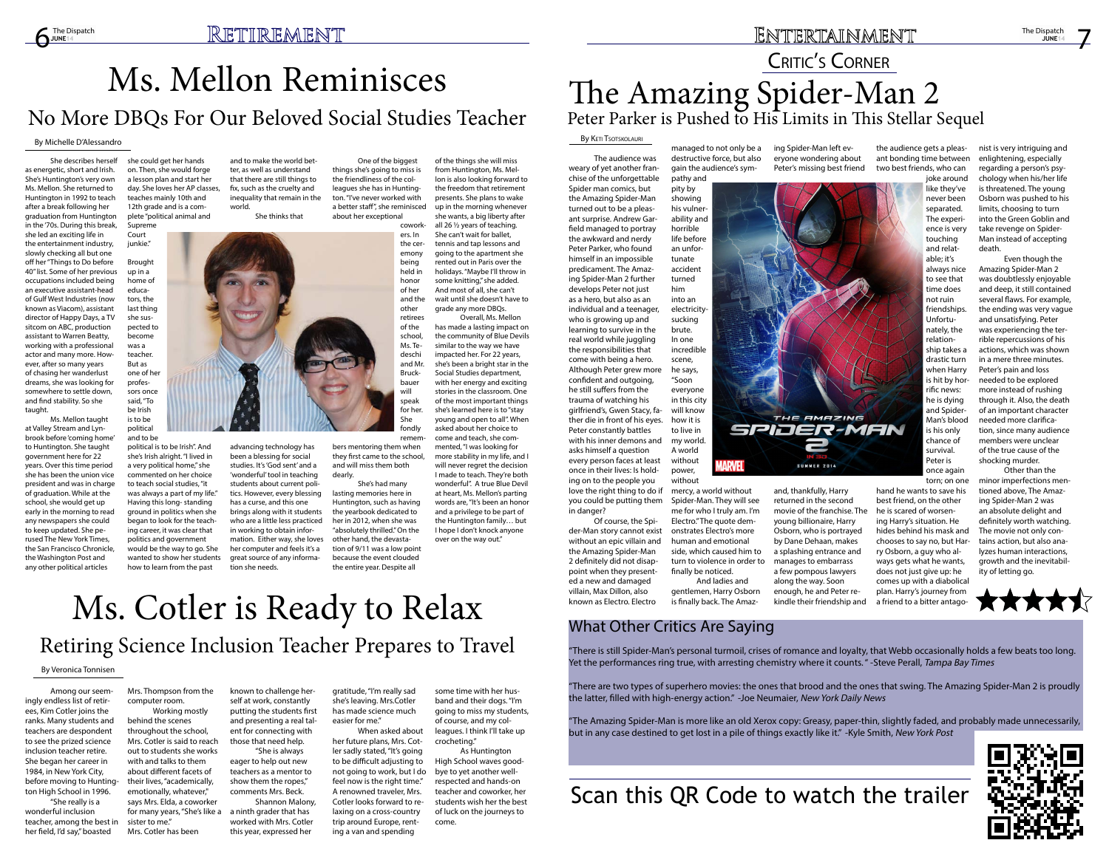## Ms. Mellon Reminisces No More DBQs For Our Beloved Social Studies Teacher

Ms. Cotler is Ready to Relax Retiring Science Inclusion Teacher Prepares to Travel

#### By Michelle D'Alessandro

She describes herself as energetic, short and Irish. She's Huntington's very own Ms. Mellon. She returned to Huntington in 1992 to teach after a break following her graduation from Huntington in the '70s. During this break, she led an exciting life in the entertainment industry, slowly checking all but one off her "Things to Do before 40" list. Some of her previous occupations included being an executive assistant-head of Gulf West Industries (now known as Viacom), assistant director of Happy Days, a TV sitcom on ABC, production assistant to Warren Beatty, working with a professional actor and many more. However, after so many years of chasing her wanderlust dreams, she was looking for somewhere to settle down, and find stability. So she taught.

Ms. Mellon taught at Valley Stream and Lynbrook before 'coming home' to Huntington. She taught government here for 22 years. Over this time period she has been the union vice president and was in charge of graduation. While at the school, she would get up early in the morning to read any newspapers she could to keep updated. She perused The New York Times, the San Francisco Chronicle, the Washington Post and any other political articles

she could get her hands on. Then, she would forge a lesson plan and start her day. She loves her AP classes, teaches mainly 10th and 12th grade and is a complete "political animal and Supreme

Court junkie."

> remem bers mentoring them when they first came to the school, and will miss them both dearly.

Brought up in a home of educators, the last thing she suspected to become was a teacher. But as one of her professors once said, "To be Irish is to be political

and to be political is to be Irish". And she's Irish alright. "I lived in a very political home," she commented on her choice to teach social studies, "it was always a part of my life." Having this long- standing ground in politics when she began to look for the teaching career, it was clear that politics and government would be the way to go. She wanted to show her students how to learn from the past

and to make the world better, as well as understand that there are still things to fix, such as the cruelty and inequality that remain in the world.

She thinks that

advancing technology has been a blessing for social studies. It's 'God sent' and a 'wonderful' tool in teaching students about current politics. However, every blessing has a curse, and this one brings along with it students who are a little less practiced in working to obtain information. Either way, she loves her computer and feels it's a great source of any informa-

### ENTERTAINMENT

tion she needs.

One of the biggest things she's going to miss is the friendliness of the colleagues she has in Huntington. "I've never worked with a better staff", she reminisced about her exceptional cowork-

> ers. In the ceremony being held in honor of her and the other of the school, Ms. Tedeschi Bruckbauer will speak

retirees and Mr. for her.

> She fondly

## The Amazing Spider-Man 2 Peter Parker is Pushed to His Limits in This Stellar Sequel CRITIC'S CORNER

She's had many lasting memories here in Huntington, such as having the yearbook dedicated to her in 2012, when she was "absolutely thrilled." On the other hand, the devastation of 9/11 was a low point because the event clouded the entire year. Despite all

of the things she will miss

from Huntington, Ms. Mellon is also looking forward to the freedom that retirement presents. She plans to wake up in the morning whenever she wants, a big liberty after all 26 ½ years of teaching. She can't wait for ballet, tennis and tap lessons and going to the apartment she rented out in Paris over the holidays. "Maybe I'll throw in some knitting," she added. And most of all, she can't wait until she doesn't have to grade any more DBQs. Overall, Ms. Mellon

has made a lasting impact on the community of Blue Devils similar to the way we have impacted her. For 22 years, she's been a bright star in the Social Studies department, with her energy and exciting stories in the classroom. One of the most important things she's learned here is to "stay young and open to all". When asked about her choice to come and teach, she commented, "I was looking for more stability in my life, and I will never regret the decision I made to teach. They're both wonderful". A true Blue Devil at heart, Ms. Mellon's parting words are, "It's been an honor and a privilege to be part of the Huntington family… but I hope I don't knock anyone

over on the way out."

#### By Keti Tsotskolauri

Among our seemingly endless list of retirees, Kim Cotler joins the ranks. Many students and teachers are despondent to see the prized science inclusion teacher retire. She began her career in 1984, in New York City, before moving to Huntington High School in 1996.

"She really is a wonderful inclusion teacher, among the best in her field, I'd say," boasted

Mrs. Thompson from the computer room.

Working mostly behind the scenes throughout the school, Mrs. Cotler is said to reach out to students she works with and talks to them about different facets of their lives, "academically, emotionally, whatever," says Mrs. Elda, a coworker for many years, "She's like a a ninth grader that has sister to me." Mrs. Cotler has been

"There is still Spider-Man's personal turmoil, crises of romance and loyalty, that Webb occasionally holds a few beats too long. Yet the performances ring true, with arresting chemistry where it counts." -Steve Perall, Tampa Bay Times

known to challenge herself at work, constantly putting the students first and presenting a real talent for connecting with those that need help.

"The Amazing Spider-Man is more like an old Xerox copy: Greasy, paper-thin, slightly faded, and probably made unnecessarily, but in any case destined to get lost in a pile of things exactly like it." -Kyle Smith, New York Post

"She is always eager to help out new teachers as a mentor to show them the ropes," comments Mrs. Beck.

Shannon Malony, worked with Mrs. Cotler this year, expressed her

gratitude, "I'm really sad she's leaving. Mrs.Cotler has made science much easier for me."

When asked about her future plans, Mrs. Cotler sadly stated, "It's going to be difficult adjusting to not going to work, but I do feel now is the right time." A renowned traveler, Mrs. Cotler looks forward to relaxing on a cross-country trip around Europe, renting a van and spending

some time with her husband and their dogs. "I'm going to miss my students, of course, and my colleagues. I think I'll take up crocheting."

As Huntington High School waves goodbye to yet another wellrespected and hands-on teacher and coworker, her students wish her the best of luck on the journeys to come.



#### By Veronica Tonnisen

The audience was weary of yet another franchise of the unforgettable Spider man comics, but the Amazing Spider-Man turned out to be a pleasant surprise. Andrew Garfield managed to portray the awkward and nerdy Peter Parker, who found himself in an impossible predicament. The Amazing Spider-Man 2 further develops Peter not just as a hero, but also as an individual and a teenager, who is growing up and learning to survive in the real world while juggling the responsibilities that come with being a hero. Although Peter grew more confident and outgoing, he still suffers from the trauma of watching his girlfriend's, Gwen Stacy, father die in front of his eyes. Peter constantly battles with his inner demons and asks himself a question every person faces at least once in their lives: Is holding on to the people you love the right thing to do if you could be putting them in danger?

Of course, the Spider-Man story cannot exist without an epic villain and the Amazing Spider-Man 2 definitely did not disappoint when they presented a new and damaged villain, Max Dillon, also known as Electro. Electro

managed to not only be a destructive force, but also gain the audience's sym-

pathy and pity by showing his vulnerability and horrible life before an unfortunate accident turned him into an electricitysucking brute. In one incredible scene, he says, "Soon everyone in this city will know how it is to live in my world. A world without power, without

mercy, a world without Spider-Man. They will see me for who I truly am. I'm Electro." The quote demonstrates Electro's more human and emotional side, which caused him to turn to violence in order to

finally be noticed.

And ladies and gentlemen, Harry Osborn is finally back. The Amazing Spider-Man left everyone wondering about Peter's missing best friend

and, thankfully, Harry returned in the second movie of the franchise. The young billionaire, Harry Osborn, who is portrayed by Dane Dehaan, makes a splashing entrance and manages to embarrass a few pompous lawyers along the way. Soon enough, he and Peter rekindle their friendship and

the audience gets a pleasant bonding time between two best friends, who can



torn; on one hand he wants to save his best friend, on the other he is scared of worsening Harry's situation. He hides behind his mask and chooses to say no, but Harry Osborn, a guy who always gets what he wants, does not just give up: he comes up with a diabolical plan. Harry's journey from a friend to a bitter antagonist is very intriguing and enlightening, especially regarding a person's psychology when his/her life is threatened. The young Osborn was pushed to his limits, choosing to turn into the Green Goblin and take revenge on Spider-Man instead of accepting death.

Even though the Amazing Spider-Man 2 was doubtlessly enjoyable and deep, it still contained several flaws. For example, the ending was very vague and unsatisfying. Peter was experiencing the terrible repercussions of his actions, which was shown in a mere three minutes. Peter's pain and loss needed to be explored more instead of rushing through it. Also, the death of an important character needed more clarification, since many audience members were unclear of the true cause of the shocking murder.

Other than the minor imperfections mentioned above, The Amazing Spider-Man 2 was an absolute delight and definitely worth watching. The movie not only contains action, but also analyzes human interactions, growth and the inevitability of letting go.





### Scan this QR Code to watch the trailer

### What Other Critics Are Saying

"There are two types of superhero movies: the ones that brood and the ones that swing. The Amazing Spider-Man 2 is proudly the latter, filled with high-energy action." -Joe Neumaier, New York Daily News

7